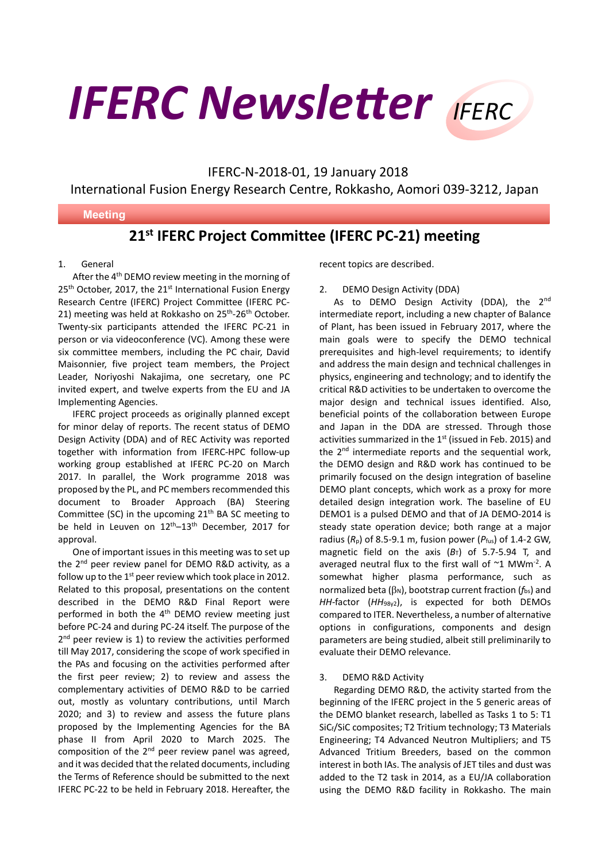**IFERC Newsletter** IFERC

IFERC-N-2018-01, 19 January 2018

International Fusion Energy Research Centre, Rokkasho, Aomori 039-3212, Japan

## **Meeting**

# **21st IFERC Project Committee (IFERC PC-21) meeting**

# 1. General

֦

After the 4<sup>th</sup> DEMO review meeting in the morning of  $25<sup>th</sup>$  October, 2017, the  $21<sup>st</sup>$  International Fusion Energy Research Centre (IFERC) Project Committee (IFERC PC-21) meeting was held at Rokkasho on 25<sup>th</sup>-26<sup>th</sup> October. Twenty-six participants attended the IFERC PC-21 in person or via videoconference (VC). Among these were six committee members, including the PC chair, David Maisonnier, five project team members, the Project Leader, Noriyoshi Nakajima, one secretary, one PC invited expert, and twelve experts from the EU and JA Implementing Agencies.

IFERC project proceeds as originally planned except for minor delay of reports. The recent status of DEMO Design Activity (DDA) and of REC Activity was reported together with information from IFERC-HPC follow-up working group established at IFERC PC-20 on March 2017. In parallel, the Work programme 2018 was proposed by the PL, and PC members recommended this document to Broader Approach (BA) Steering Committee (SC) in the upcoming  $21<sup>th</sup>$  BA SC meeting to be held in Leuven on  $12<sup>th</sup>-13<sup>th</sup>$  December, 2017 for approval.

One of important issues in this meeting was to set up the 2<sup>nd</sup> peer review panel for DEMO R&D activity, as a follow up to the  $1<sup>st</sup>$  peer review which took place in 2012. Related to this proposal, presentations on the content described in the DEMO R&D Final Report were performed in both the 4<sup>th</sup> DEMO review meeting just before PC-24 and during PC-24 itself. The purpose of the  $2<sup>nd</sup>$  peer review is 1) to review the activities performed till May 2017, considering the scope of work specified in the PAs and focusing on the activities performed after the first peer review; 2) to review and assess the complementary activities of DEMO R&D to be carried out, mostly as voluntary contributions, until March 2020; and 3) to review and assess the future plans proposed by the Implementing Agencies for the BA phase II from April 2020 to March 2025. The composition of the  $2^{nd}$  peer review panel was agreed, and it was decided that the related documents, including the Terms of Reference should be submitted to the next IFERC PC-22 to be held in February 2018. Hereafter, the

recent topics are described.

#### 2. DEMO Design Activity (DDA)

As to DEMO Design Activity (DDA), the 2<sup>nd</sup> intermediate report, including a new chapter of Balance of Plant, has been issued in February 2017, where the main goals were to specify the DEMO technical prerequisites and high-level requirements; to identify and address the main design and technical challenges in physics, engineering and technology; and to identify the critical R&D activities to be undertaken to overcome the major design and technical issues identified. Also, beneficial points of the collaboration between Europe and Japan in the DDA are stressed. Through those activities summarized in the  $1<sup>st</sup>$  (issued in Feb. 2015) and the 2<sup>nd</sup> intermediate reports and the sequential work, the DEMO design and R&D work has continued to be primarily focused on the design integration of baseline DEMO plant concepts, which work as a proxy for more detailed design integration work. The baseline of EU DEMO1 is a pulsed DEMO and that of JA DEMO-2014 is steady state operation device; both range at a major radius (*R*p) of 8.5-9.1 m, fusion power (*P*fus) of 1.4-2 GW, magnetic field on the axis  $(B_T)$  of 5.7-5.94 T, and averaged neutral flux to the first wall of  $~1$  MWm<sup>-2</sup>. A somewhat higher plasma performance, such as normalized beta ( $\beta_N$ ), bootstrap current fraction ( $f_{\text{bs}}$ ) and *HH*-factor (*HH*98y2), is expected for both DEMOs compared to ITER. Nevertheless, a number of alternative options in configurations, components and design parameters are being studied, albeit still preliminarily to evaluate their DEMO relevance.

#### 3. DEMO R&D Activity

Regarding DEMO R&D, the activity started from the beginning of the IFERC project in the 5 generic areas of the DEMO blanket research, labelled as Tasks 1 to 5: T1 SiCf/SiC composites; T2 Tritium technology; T3 Materials Engineering; T4 Advanced Neutron Multipliers; and T5 Advanced Tritium Breeders, based on the common interest in both IAs. The analysis of JET tiles and dust was added to the T2 task in 2014, as a EU/JA collaboration using the DEMO R&D facility in Rokkasho. The main